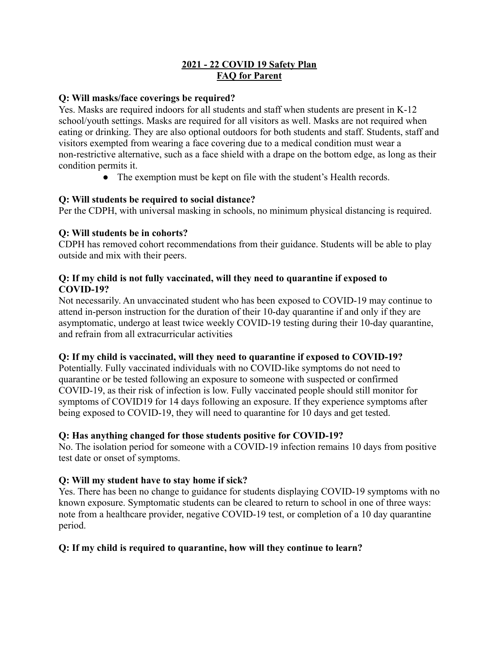#### **2021 - 22 COVID 19 Safety Plan FAQ for Parent**

#### **Q: Will masks/face coverings be required?**

Yes. Masks are required indoors for all students and staff when students are present in K-12 school/youth settings. Masks are required for all visitors as well. Masks are not required when eating or drinking. They are also optional outdoors for both students and staff. Students, staff and visitors exempted from wearing a face covering due to a medical condition must wear a non-restrictive alternative, such as a face shield with a drape on the bottom edge, as long as their condition permits it.

• The exemption must be kept on file with the student's Health records.

### **Q: Will students be required to social distance?**

Per the CDPH, with universal masking in schools, no minimum physical distancing is required.

# **Q: Will students be in cohorts?**

CDPH has removed cohort recommendations from their guidance. Students will be able to play outside and mix with their peers.

### **Q: If my child is not fully vaccinated, will they need to quarantine if exposed to COVID-19?**

Not necessarily. An unvaccinated student who has been exposed to COVID-19 may continue to attend in-person instruction for the duration of their 10-day quarantine if and only if they are asymptomatic, undergo at least twice weekly COVID-19 testing during their 10-day quarantine, and refrain from all extracurricular activities

### **Q: If my child is vaccinated, will they need to quarantine if exposed to COVID-19?**

Potentially. Fully vaccinated individuals with no COVID-like symptoms do not need to quarantine or be tested following an exposure to someone with suspected or confirmed COVID-19, as their risk of infection is low. Fully vaccinated people should still monitor for symptoms of COVID19 for 14 days following an exposure. If they experience symptoms after being exposed to COVID-19, they will need to quarantine for 10 days and get tested.

### **Q: Has anything changed for those students positive for COVID-19?**

No. The isolation period for someone with a COVID-19 infection remains 10 days from positive test date or onset of symptoms.

### **Q: Will my student have to stay home if sick?**

Yes. There has been no change to guidance for students displaying COVID-19 symptoms with no known exposure. Symptomatic students can be cleared to return to school in one of three ways: note from a healthcare provider, negative COVID-19 test, or completion of a 10 day quarantine period.

### **Q: If my child is required to quarantine, how will they continue to learn?**